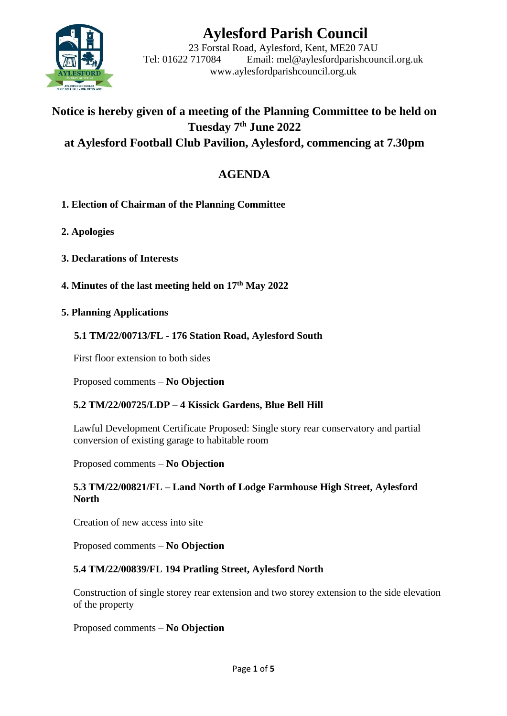

# **Aylesford Parish Council**

23 Forstal Road, Aylesford, Kent, ME20 7AU Tel: 01622 717084 Email: mel@aylesfordparishcouncil.org.uk www.aylesfordparishcouncil.org.uk

# **Notice is hereby given of a meeting of the Planning Committee to be held on Tuesday 7 th June 2022 at Aylesford Football Club Pavilion, Aylesford, commencing at 7.30pm**

# **AGENDA**

- **1. Election of Chairman of the Planning Committee**
- **2. Apologies**
- **3. Declarations of Interests**
- **4. Minutes of the last meeting held on 17th May 2022**
- **5. Planning Applications**

# **5.1 TM/22/00713/FL - 176 Station Road, Aylesford South**

First floor extension to both sides

Proposed comments – **No Objection**

#### **5.2 TM/22/00725/LDP – 4 Kissick Gardens, Blue Bell Hill**

Lawful Development Certificate Proposed: Single story rear conservatory and partial conversion of existing garage to habitable room

Proposed comments – **No Objection**

#### **5.3 TM/22/00821/FL – Land North of Lodge Farmhouse High Street, Aylesford North**

Creation of new access into site

Proposed comments – **No Objection**

#### **5.4 TM/22/00839/FL 194 Pratling Street, Aylesford North**

Construction of single storey rear extension and two storey extension to the side elevation of the property

Proposed comments – **No Objection**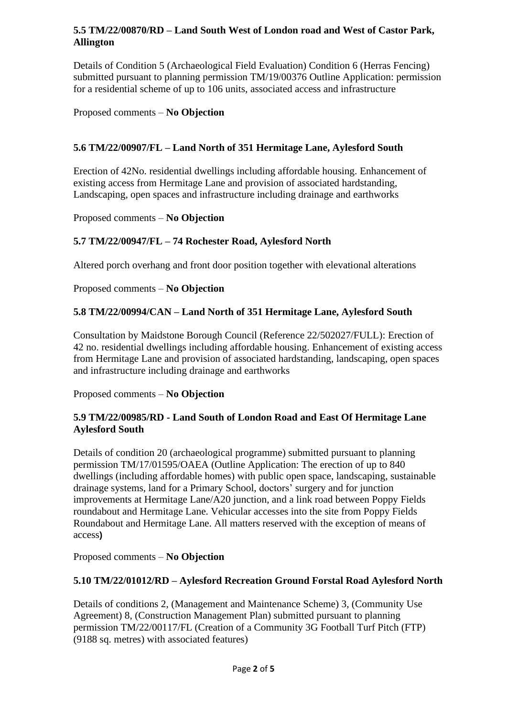#### **5.5 TM/22/00870/RD – Land South West of London road and West of Castor Park, Allington**

Details of Condition 5 (Archaeological Field Evaluation) Condition 6 (Herras Fencing) submitted pursuant to planning permission TM/19/00376 Outline Application: permission for a residential scheme of up to 106 units, associated access and infrastructure

Proposed comments – **No Objection**

# **5.6 TM/22/00907/FL – Land North of 351 Hermitage Lane, Aylesford South**

Erection of 42No. residential dwellings including affordable housing. Enhancement of existing access from Hermitage Lane and provision of associated hardstanding, Landscaping, open spaces and infrastructure including drainage and earthworks

Proposed comments – **No Objection**

# **5.7 TM/22/00947/FL – 74 Rochester Road, Aylesford North**

Altered porch overhang and front door position together with elevational alterations

Proposed comments – **No Objection**

# **5.8 TM/22/00994/CAN – Land North of 351 Hermitage Lane, Aylesford South**

Consultation by Maidstone Borough Council (Reference 22/502027/FULL): Erection of 42 no. residential dwellings including affordable housing. Enhancement of existing access from Hermitage Lane and provision of associated hardstanding, landscaping, open spaces and infrastructure including drainage and earthworks

Proposed comments – **No Objection**

#### **5.9 TM/22/00985/RD - Land South of London Road and East Of Hermitage Lane Aylesford South**

Details of condition 20 (archaeological programme) submitted pursuant to planning permission TM/17/01595/OAEA (Outline Application: The erection of up to 840 dwellings (including affordable homes) with public open space, landscaping, sustainable drainage systems, land for a Primary School, doctors' surgery and for junction improvements at Hermitage Lane/A20 junction, and a link road between Poppy Fields roundabout and Hermitage Lane. Vehicular accesses into the site from Poppy Fields Roundabout and Hermitage Lane. All matters reserved with the exception of means of access**)**

Proposed comments – **No Objection**

#### **5.10 TM/22/01012/RD – Aylesford Recreation Ground Forstal Road Aylesford North**

Details of conditions 2, (Management and Maintenance Scheme) 3, (Community Use Agreement) 8, (Construction Management Plan) submitted pursuant to planning permission TM/22/00117/FL (Creation of a Community 3G Football Turf Pitch (FTP) (9188 sq. metres) with associated features)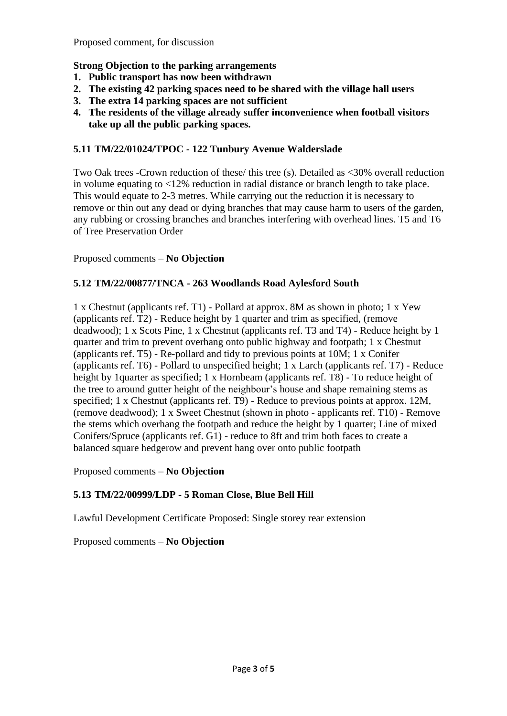Proposed comment, for discussion

#### **Strong Objection to the parking arrangements**

- **1. Public transport has now been withdrawn**
- **2. The existing 42 parking spaces need to be shared with the village hall users**
- **3. The extra 14 parking spaces are not sufficient**
- **4. The residents of the village already suffer inconvenience when football visitors take up all the public parking spaces.**

#### **5.11 TM/22/01024/TPOC - 122 Tunbury Avenue Walderslade**

Two Oak trees -Crown reduction of these/ this tree (s). Detailed as <30% overall reduction in volume equating to <12% reduction in radial distance or branch length to take place. This would equate to 2-3 metres. While carrying out the reduction it is necessary to remove or thin out any dead or dying branches that may cause harm to users of the garden, any rubbing or crossing branches and branches interfering with overhead lines. T5 and T6 of Tree Preservation Order

Proposed comments – **No Objection**

#### **5.12 TM/22/00877/TNCA - 263 Woodlands Road Aylesford South**

1 x Chestnut (applicants ref. T1) - Pollard at approx. 8M as shown in photo; 1 x Yew (applicants ref. T2) - Reduce height by 1 quarter and trim as specified, (remove deadwood); 1 x Scots Pine, 1 x Chestnut (applicants ref. T3 and T4) - Reduce height by 1 quarter and trim to prevent overhang onto public highway and footpath; 1 x Chestnut (applicants ref. T5) - Re-pollard and tidy to previous points at 10M; 1 x Conifer (applicants ref. T6) - Pollard to unspecified height; 1 x Larch (applicants ref. T7) - Reduce height by 1quarter as specified; 1 x Hornbeam (applicants ref. T8) - To reduce height of the tree to around gutter height of the neighbour's house and shape remaining stems as specified; 1 x Chestnut (applicants ref. T9) - Reduce to previous points at approx. 12M, (remove deadwood); 1 x Sweet Chestnut (shown in photo - applicants ref. T10) - Remove the stems which overhang the footpath and reduce the height by 1 quarter; Line of mixed Conifers/Spruce (applicants ref. G1) - reduce to 8ft and trim both faces to create a balanced square hedgerow and prevent hang over onto public footpath

Proposed comments – **No Objection**

#### **5.13 TM/22/00999/LDP - 5 Roman Close, Blue Bell Hill**

Lawful Development Certificate Proposed: Single storey rear extension

Proposed comments – **No Objection**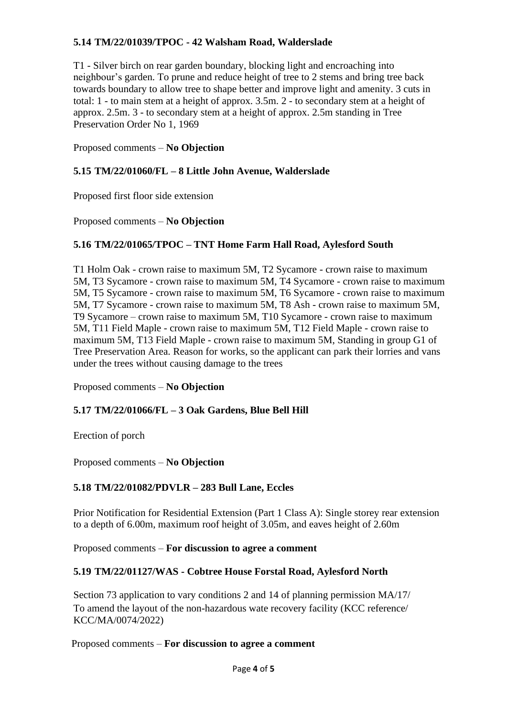# **5.14 TM/22/01039/TPOC - 42 Walsham Road, Walderslade**

T1 - Silver birch on rear garden boundary, blocking light and encroaching into neighbour's garden. To prune and reduce height of tree to 2 stems and bring tree back towards boundary to allow tree to shape better and improve light and amenity. 3 cuts in total: 1 - to main stem at a height of approx. 3.5m. 2 - to secondary stem at a height of approx. 2.5m. 3 - to secondary stem at a height of approx. 2.5m standing in Tree Preservation Order No 1, 1969

Proposed comments – **No Objection**

#### **5.15 TM/22/01060/FL – 8 Little John Avenue, Walderslade**

Proposed first floor side extension

Proposed comments – **No Objection**

#### **5.16 TM/22/01065/TPOC – TNT Home Farm Hall Road, Aylesford South**

T1 Holm Oak - crown raise to maximum 5M, T2 Sycamore - crown raise to maximum 5M, T3 Sycamore - crown raise to maximum 5M, T4 Sycamore - crown raise to maximum 5M, T5 Sycamore - crown raise to maximum 5M, T6 Sycamore - crown raise to maximum 5M, T7 Sycamore - crown raise to maximum 5M, T8 Ash - crown raise to maximum 5M, T9 Sycamore – crown raise to maximum 5M, T10 Sycamore - crown raise to maximum 5M, T11 Field Maple - crown raise to maximum 5M, T12 Field Maple - crown raise to maximum 5M, T13 Field Maple - crown raise to maximum 5M, Standing in group G1 of Tree Preservation Area. Reason for works, so the applicant can park their lorries and vans under the trees without causing damage to the trees

Proposed comments – **No Objection**

#### **5.17 TM/22/01066/FL – 3 Oak Gardens, Blue Bell Hill**

Erection of porch

Proposed comments – **No Objection**

#### **5.18 TM/22/01082/PDVLR – 283 Bull Lane, Eccles**

Prior Notification for Residential Extension (Part 1 Class A): Single storey rear extension to a depth of 6.00m, maximum roof height of 3.05m, and eaves height of 2.60m

Proposed comments – **For discussion to agree a comment**

#### **5.19 TM/22/01127/WAS - Cobtree House Forstal Road, Aylesford North**

Section 73 application to vary conditions 2 and 14 of planning permission MA/17/ To amend the layout of the non-hazardous wate recovery facility (KCC reference/ KCC/MA/0074/2022)

Proposed comments – **For discussion to agree a comment**